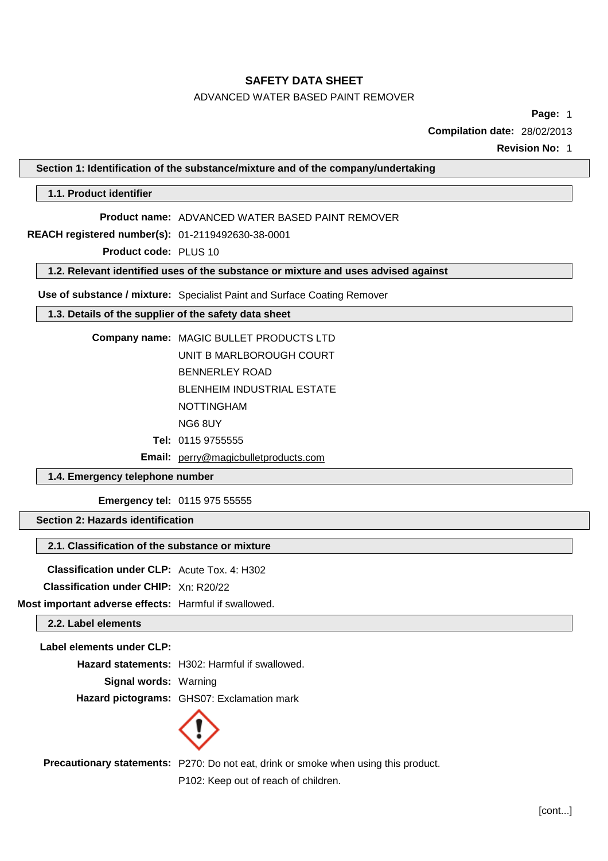# ADVANCED WATER BASED PAINT REMOVER

**Page:** 1

**Compilation date:** 28/02/2013

**Revision No:** 1

**Section 1: Identification of the substance/mixture and of the company/undertaking**

**1.1. Product identifier**

**Product name:** ADVANCED WATER BASED PAINT REMOVER

**REACH registered number(s):** 01-2119492630-38-0001

**Product code:** PLUS 10

**1.2. Relevant identified uses of the substance or mixture and uses advised against**

**Use of substance / mixture:** Specialist Paint and Surface Coating Remover

# **1.3. Details of the supplier of the safety data sheet**

**Company name:** MAGIC BULLET PRODUCTS LTD UNIT B MARLBOROUGH COURT BENNERLEY ROAD BLENHEIM INDUSTRIAL ESTATE NOTTINGHAM

- NG6 8UY
- **Tel:** 0115 9755555
- **Email:** [perry@magicbulletproducts.com](mailto:perry@magicbulletproducts.com)

# **1.4. Emergency telephone number**

**Emergency tel:** 0115 975 55555

**Section 2: Hazards identification**

## **2.1. Classification of the substance or mixture**

**Classification under CLP:** Acute Tox. 4: H302

**Classification under CHIP:** Xn: R20/22

**Most important adverse effects:** Harmful if swallowed.

**2.2. Label elements**

**Label elements under CLP:**

**Hazard statements:** H302: Harmful if swallowed.

**Signal words:** Warning

**Hazard pictograms:** GHS07: Exclamation mark



**Precautionary statements:** P270: Do not eat, drink or smoke when using this product.

P102: Keep out of reach of children.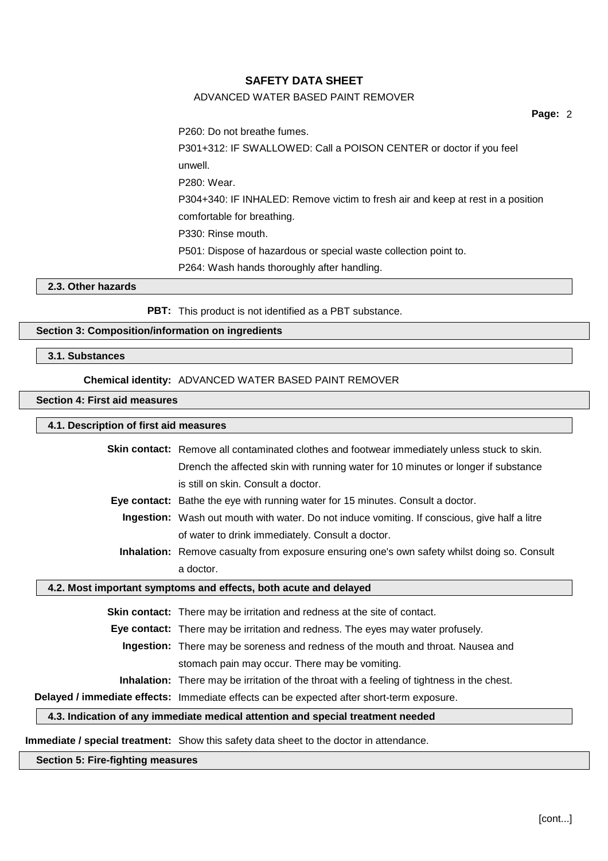## ADVANCED WATER BASED PAINT REMOVER

**Page:** 2

P260: Do not breathe fumes.

P301+312: IF SWALLOWED: Call a POISON CENTER or doctor if you feel unwell. P280: Wear. P304+340: IF INHALED: Remove victim to fresh air and keep at rest in a position comfortable for breathing. P330: Rinse mouth. P501: Dispose of hazardous or special waste collection point to. P264: Wash hands thoroughly after handling.

**2.3. Other hazards**

**PBT:** This product is not identified as a PBT substance.

## **Section 3: Composition/information on ingredients**

**3.1. Substances**

## **Chemical identity:** ADVANCED WATER BASED PAINT REMOVER

## **Section 4: First aid measures**

## **4.1. Description of first aid measures**

| Skin contact: Remove all contaminated clothes and footwear immediately unless stuck to skin.       |
|----------------------------------------------------------------------------------------------------|
| Drench the affected skin with running water for 10 minutes or longer if substance                  |
| is still on skin. Consult a doctor.                                                                |
| <b>Eye contact:</b> Bathe the eye with running water for 15 minutes. Consult a doctor.             |
| Ingestion: Wash out mouth with water. Do not induce vomiting. If conscious, give half a litre      |
| of water to drink immediately. Consult a doctor.                                                   |
| Inhalation: Remove casualty from exposure ensuring one's own safety whilst doing so. Consult       |
| a doctor.                                                                                          |
| 4.2. Most important symptoms and effects, both acute and delayed                                   |
| <b>Skin contact:</b> There may be irritation and redness at the site of contact.                   |
| Eye contact: There may be irritation and redness. The eyes may water profusely.                    |
| Ingestion: There may be soreness and redness of the mouth and throat. Nausea and                   |
| stomach pain may occur. There may be vomiting.                                                     |
| <b>Inhalation:</b> There may be irritation of the throat with a feeling of tightness in the chest. |
| Delayed / immediate effects: Immediate effects can be expected after short-term exposure.          |
| 4.3. Indication of any immediate medical attention and special treatment needed                    |

**Immediate / special treatment:** Show this safety data sheet to the doctor in attendance.

### **Section 5: Fire-fighting measures**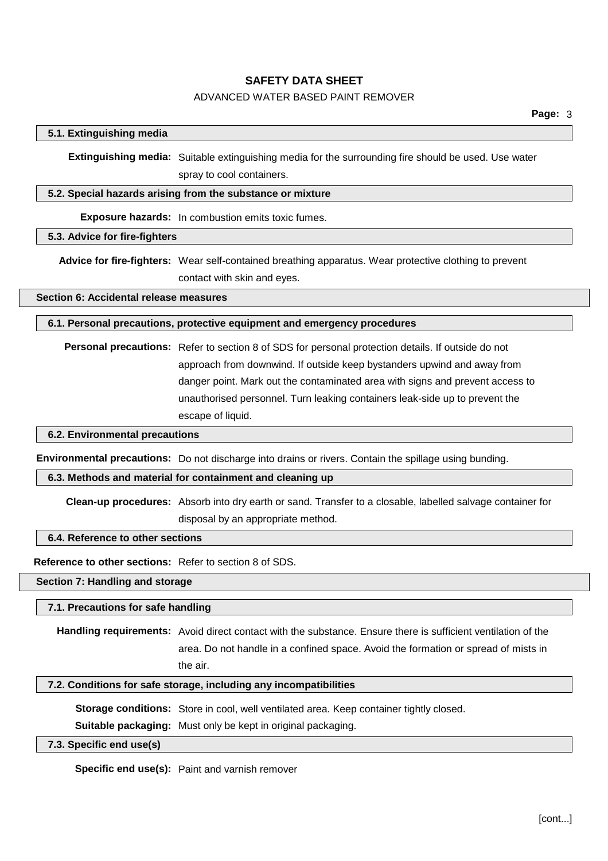## ADVANCED WATER BASED PAINT REMOVER

#### **5.1. Extinguishing media**

**Extinguishing media:** Suitable extinguishing media for the surrounding fire should be used. Use water spray to cool containers.

### **5.2. Special hazards arising from the substance or mixture**

**Exposure hazards:** In combustion emits toxic fumes.

### **5.3. Advice for fire-fighters**

**Advice for fire-fighters:** Wear self-contained breathing apparatus. Wear protective clothing to prevent contact with skin and eyes.

**Section 6: Accidental release measures**

**6.1. Personal precautions, protective equipment and emergency procedures**

**Personal precautions:** Refer to section 8 of SDS for personal protection details. If outside do not approach from downwind. If outside keep bystanders upwind and away from danger point. Mark out the contaminated area with signs and prevent access to unauthorised personnel. Turn leaking containers leak-side up to prevent the escape of liquid.

## **6.2. Environmental precautions**

**Environmental precautions:** Do not discharge into drains or rivers. Contain the spillage using bunding.

#### **6.3. Methods and material for containment and cleaning up**

**Clean-up procedures:** Absorb into dry earth or sand. Transfer to a closable, labelled salvage container for disposal by an appropriate method.

#### **6.4. Reference to other sections**

**Reference to other sections:** Refer to section 8 of SDS.

**Section 7: Handling and storage**

## **7.1. Precautions for safe handling**

**Handling requirements:** Avoid direct contact with the substance. Ensure there is sufficient ventilation of the area. Do not handle in a confined space. Avoid the formation or spread of mists in the air.

#### **7.2. Conditions for safe storage, including any incompatibilities**

**Storage conditions:** Store in cool, well ventilated area. Keep container tightly closed.

**Suitable packaging:** Must only be kept in original packaging.

## **7.3. Specific end use(s)**

**Specific end use(s):** Paint and varnish remover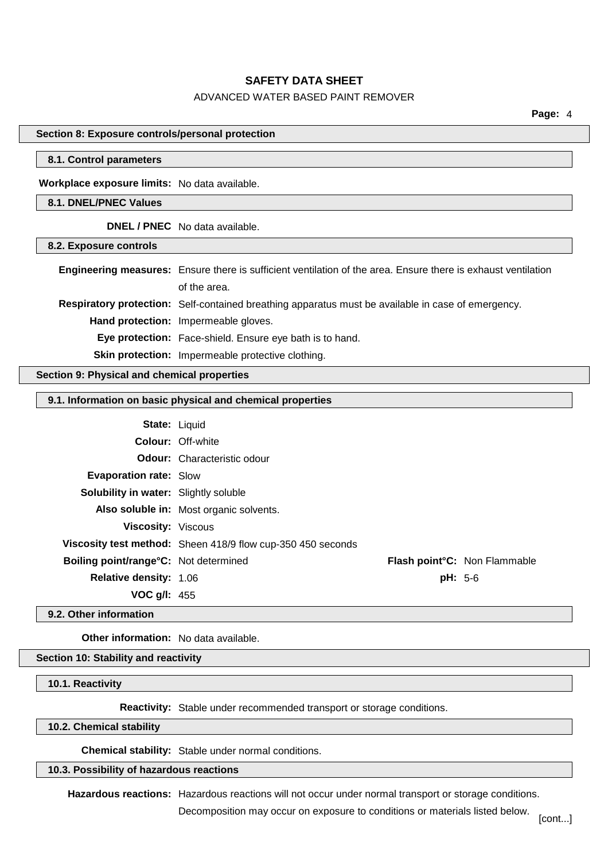### ADVANCED WATER BASED PAINT REMOVER

**Page:** 4

### **Section 8: Exposure controls/personal protection**

## **8.1. Control parameters**

**Workplace exposure limits:** No data available.

## **8.1. DNEL/PNEC Values**

**DNEL / PNEC** No data available.

#### **8.2. Exposure controls**

| Engineering measures: Ensure there is sufficient ventilation of the area. Ensure there is exhaust ventilation |
|---------------------------------------------------------------------------------------------------------------|
| of the area.                                                                                                  |
| <b>Respiratory protection:</b> Self-contained breathing apparatus must be available in case of emergency.     |
| Hand protection: Impermeable gloves.                                                                          |
| Eye protection: Face-shield. Ensure eye bath is to hand.                                                      |
| Skin protection: Impermeable protective clothing.                                                             |

## **Section 9: Physical and chemical properties**

## **9.1. Information on basic physical and chemical properties**

| <b>State: Liquid</b>                         |                                                             |                              |
|----------------------------------------------|-------------------------------------------------------------|------------------------------|
|                                              | <b>Colour: Off-white</b>                                    |                              |
|                                              | <b>Odour:</b> Characteristic odour                          |                              |
| <b>Evaporation rate: Slow</b>                |                                                             |                              |
| <b>Solubility in water:</b> Slightly soluble |                                                             |                              |
|                                              | Also soluble in: Most organic solvents.                     |                              |
| <b>Viscosity: Viscous</b>                    |                                                             |                              |
|                                              | Viscosity test method: Sheen 418/9 flow cup-350 450 seconds |                              |
| Boiling point/range°C: Not determined        |                                                             | Flash point°C: Non Flammable |
| <b>Relative density: 1.06</b>                | $pH: 5-6$                                                   |                              |
| <b>VOC g/l:</b> 455                          |                                                             |                              |

#### **9.2. Other information**

**Other information:** No data available.

## **Section 10: Stability and reactivity**

#### **10.1. Reactivity**

**Reactivity:** Stable under recommended transport or storage conditions.

**10.2. Chemical stability**

**Chemical stability:** Stable under normal conditions.

## **10.3. Possibility of hazardous reactions**

**Hazardous reactions:** Hazardous reactions will not occur under normal transport or storage conditions.

Decomposition may occur on exposure to conditions or materials listed below.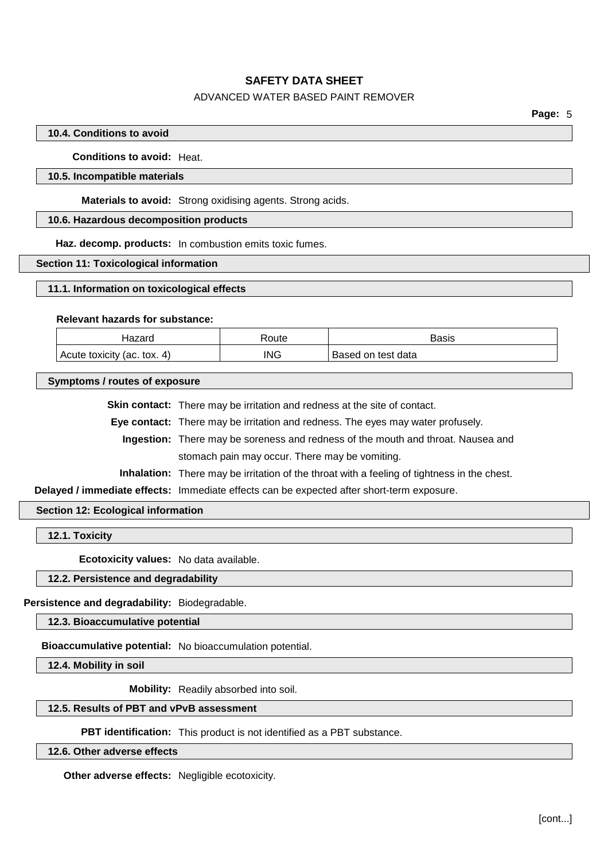# ADVANCED WATER BASED PAINT REMOVER

## **10.4. Conditions to avoid**

**Conditions to avoid:** Heat.

## **10.5. Incompatible materials**

**Materials to avoid:** Strong oxidising agents. Strong acids.

# **10.6. Hazardous decomposition products**

**Haz. decomp. products:** In combustion emits toxic fumes.

#### **Section 11: Toxicological information**

## **11.1. Information on toxicological effects**

## **Relevant hazards for substance:**

| Hazard                      | <b>Route</b> | Basis              |
|-----------------------------|--------------|--------------------|
| Acute toxicity (ac. tox. 4) | ING          | Based on test data |

#### **Symptoms / routes of exposure**

**Skin contact:** There may be irritation and redness at the site of contact.

**Eye contact:** There may be irritation and redness. The eyes may water profusely.

**Ingestion:** There may be soreness and redness of the mouth and throat. Nausea and stomach pain may occur. There may be vomiting.

**Inhalation:** There may be irritation of the throat with a feeling of tightness in the chest.

**Delayed / immediate effects:** Immediate effects can be expected after short-term exposure.

## **Section 12: Ecological information**

**12.1. Toxicity**

**Ecotoxicity values:** No data available.

# **12.2. Persistence and degradability**

**Persistence and degradability:** Biodegradable.

**12.3. Bioaccumulative potential**

**Bioaccumulative potential:** No bioaccumulation potential.

**12.4. Mobility in soil**

**Mobility:** Readily absorbed into soil.

## **12.5. Results of PBT and vPvB assessment**

**PBT identification:** This product is not identified as a PBT substance.

# **12.6. Other adverse effects**

**Other adverse effects:** Negligible ecotoxicity.